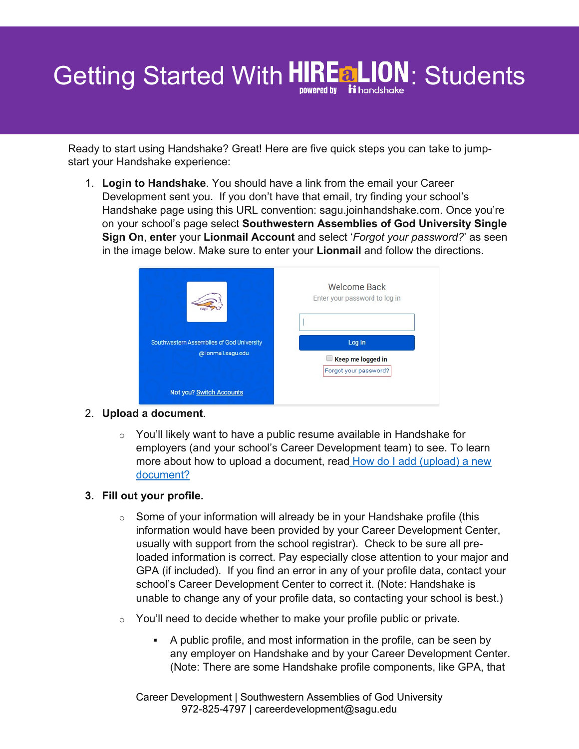# Getting Started With HIRE a LION: Students

Ready to start using Handshake? Great! Here are five quick steps you can take to jumpstart your Handshake experience:

1. **Login to Handshake**. You should have a link from the email your Career Development sent you. If you don't have that email, try finding your school's Handshake page using this URL convention: sagu.joinhandshake.com. Once you're on your school's page select **Southwestern Assemblies of God University Single Sign On**, **enter** your **Lionmail Account** and select '*Forgot your password?*' as seen in the image below. Make sure to enter your **Lionmail** and follow the directions.



### 2. **Upload a document**.

 $\circ$  You'll likely want to have a public resume available in Handshake for employers (and your school's Career Development team) to see. To learn more about how to upload a document, read How do I add (upload) a new document?

### **3. Fill out your profile.**

- $\circ$  Some of your information will already be in your Handshake profile (this information would have been provided by your Career Development Center, usually with support from the school registrar). Check to be sure all preloaded information is correct. Pay especially close attention to your major and GPA (if included). If you find an error in any of your profile data, contact your school's Career Development Center to correct it. (Note: Handshake is unable to change any of your profile data, so contacting your school is best.)
- $\circ$  You'll need to decide whether to make your profile public or private.
	- § A public profile, and most information in the profile, can be seen by any employer on Handshake and by your Career Development Center. (Note: There are some Handshake profile components, like GPA, that

Career Development | Southwestern Assemblies of God University 972-825-4797 | careerdevelopment@sagu.edu